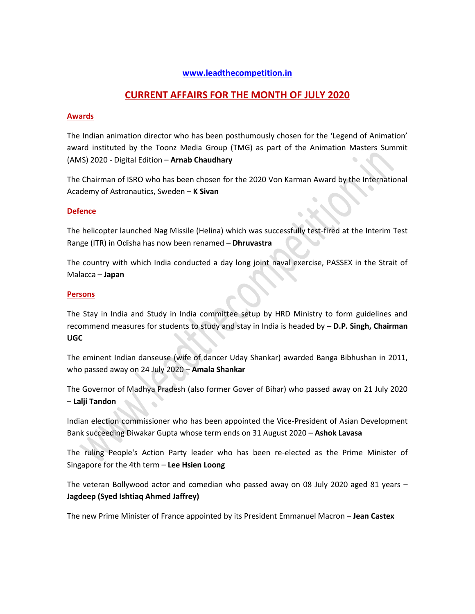# **[www.leadthecompetition.in](http://www.leadthecompetition.in/)**

# **CURRENT AFFAIRS FOR THE MONTH OF JULY 2020**

#### **Awards**

The Indian animation director who has been posthumously chosen for the 'Legend of Animation' award instituted by the Toonz Media Group (TMG) as part of the Animation Masters Summit (AMS) 2020 - Digital Edition – **Arnab Chaudhary**

The Chairman of ISRO who has been chosen for the 2020 Von Karman Award by the International Academy of Astronautics, Sweden – **K Sivan**

#### **Defence**

The helicopter launched Nag Missile (Helina) which was successfully test-fired at the Interim Test Range (ITR) in Odisha has now been renamed – **Dhruvastra**

The country with which India conducted a day long joint naval exercise, PASSEX in the Strait of Malacca – **Japan**

#### **Persons**

The Stay in India and Study in India committee setup by HRD Ministry to form guidelines and recommend measures for students to study and stay in India is headed by – **D.P. Singh, Chairman UGC**

The eminent Indian danseuse (wife of dancer Uday Shankar) awarded Banga Bibhushan in 2011, who passed away on 24 July 2020 – **Amala Shankar**

The Governor of Madhya Pradesh (also former Gover of Bihar) who passed away on 21 July 2020 – **Lalji Tandon**

Indian election commissioner who has been appointed the Vice-President of Asian Development Bank succeeding Diwakar Gupta whose term ends on 31 August 2020 – **Ashok Lavasa**

The ruling People's Action Party leader who has been re-elected as the Prime Minister of Singapore for the 4th term – **Lee Hsien Loong**

The veteran Bollywood actor and comedian who passed away on 08 July 2020 aged 81 years – **Jagdeep (Syed Ishtiaq Ahmed Jaffrey)**

The new Prime Minister of France appointed by its President Emmanuel Macron – **Jean Castex**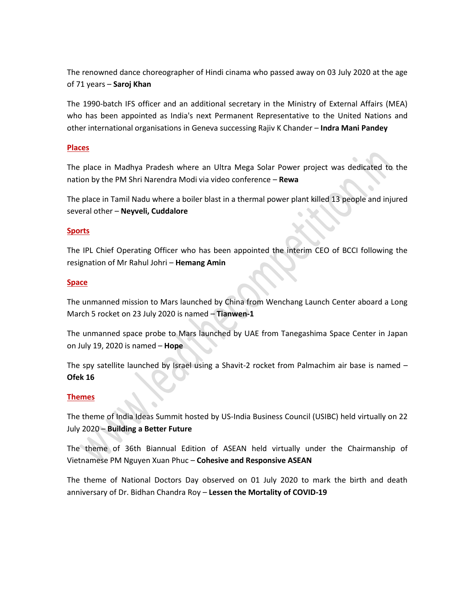The renowned dance choreographer of Hindi cinama who passed away on 03 July 2020 at the age of 71 years – **Saroj Khan**

The 1990-batch IFS officer and an additional secretary in the Ministry of External Affairs (MEA) who has been appointed as India's next Permanent Representative to the United Nations and other international organisations in Geneva successing Rajiv K Chander – **Indra Mani Pandey**

### **Places**

The place in Madhya Pradesh where an Ultra Mega Solar Power project was dedicated to the nation by the PM Shri Narendra Modi via video conference – **Rewa**

 $\bullet$ 

The place in Tamil Nadu where a boiler blast in a thermal power plant killed 13 people and injured several other – **Neyveli, Cuddalore**

# **Sports**

The IPL Chief Operating Officer who has been appointed the interim CEO of BCCI following the resignation of Mr Rahul Johri – **Hemang Amin**

# **Space**

The unmanned mission to Mars launched by China from Wenchang Launch Center aboard a Long March 5 rocket on 23 July 2020 is named – **Tianwen-1**

The unmanned space probe to Mars launched by UAE from Tanegashima Space Center in Japan on July 19, 2020 is named – **Hope**

The spy satellite launched by Israel using a Shavit-2 rocket from Palmachim air base is named – **Ofek 16**

### **Themes**

The theme of India Ideas Summit hosted by US-India Business Council (USIBC) held virtually on 22 July 2020 – **Building a Better Future**

The theme of 36th Biannual Edition of ASEAN held virtually under the Chairmanship of Vietnamese PM Nguyen Xuan Phuc – **Cohesive and Responsive ASEAN**

The theme of National Doctors Day observed on 01 July 2020 to mark the birth and death anniversary of Dr. Bidhan Chandra Roy – **Lessen the Mortality of COVID-19**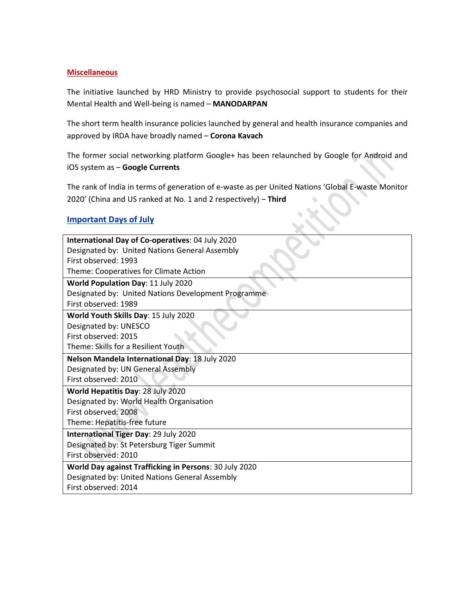### **Miscellaneous**

The initiative launched by HRD Ministry to provide psychosocial support to students for their Mental Health and Well-being is named – **MANODARPAN**

The short term health insurance policies launched by general and health insurance companies and approved by IRDA have broadly named – **Corona Kavach**

The former social networking platform Google+ has been relaunched by Google for Android and iOS system as – **Google Currents**

The rank of India in terms of generation of e-waste as per United Nations 'Global E-waste Monitor 2020' (China and US ranked at No. 1 and 2 respectively) – **Third**

# **Important Days of July**

| International Day of Co-operatives: 04 July 2020       |  |  |  |
|--------------------------------------------------------|--|--|--|
| Designated by: United Nations General Assembly         |  |  |  |
| First observed: 1993                                   |  |  |  |
| Theme: Cooperatives for Climate Action                 |  |  |  |
| World Population Day: 11 July 2020                     |  |  |  |
| Designated by: United Nations Development Programme    |  |  |  |
| First observed: 1989                                   |  |  |  |
| World Youth Skills Day: 15 July 2020                   |  |  |  |
| Designated by: UNESCO                                  |  |  |  |
| First observed: 2015                                   |  |  |  |
| Theme: Skills for a Resilient Youth                    |  |  |  |
| Nelson Mandela International Day: 18 July 2020         |  |  |  |
| Designated by: UN General Assembly                     |  |  |  |
| First observed: 2010                                   |  |  |  |
| World Hepatitis Day: 28 July 2020                      |  |  |  |
| Designated by: World Health Organisation               |  |  |  |
| First observed: 2008                                   |  |  |  |
| Theme: Hepatitis-free future                           |  |  |  |
| International Tiger Day: 29 July 2020                  |  |  |  |
| Designated by: St Petersburg Tiger Summit              |  |  |  |
| First observed: 2010                                   |  |  |  |
| World Day against Trafficking in Persons: 30 July 2020 |  |  |  |
| Designated by: United Nations General Assembly         |  |  |  |
| First observed: 2014                                   |  |  |  |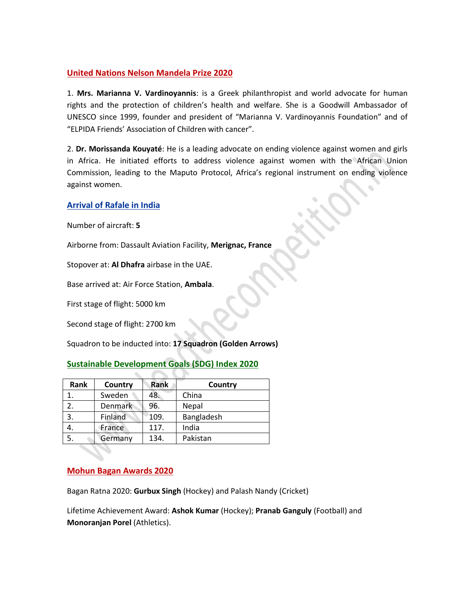# **United Nations Nelson Mandela Prize 2020**

1. **Mrs. Marianna V. Vardinoyannis**: is a Greek philanthropist and world advocate for human rights and the protection of children's health and welfare. She is a Goodwill Ambassador of UNESCO since 1999, founder and president of "Marianna V. Vardinoyannis Foundation" and of "ELPIDA Friends' Association of Children with cancer".

2. **Dr. Morissanda Kouyaté**: He is a leading advocate on ending violence against women and girls in Africa. He initiated efforts to address violence against women with the African Union Commission, leading to the Maputo Protocol, Africa's regional instrument on ending violence against women.

# **Arrival of Rafale in India**

Number of aircraft: **5**

Airborne from: Dassault Aviation Facility, **Merignac, France**

Stopover at: **Al Dhafra** airbase in the UAE.

Base arrived at: Air Force Station, **Ambala**.

First stage of flight: 5000 km

Second stage of flight: 2700 km

Squadron to be inducted into: **17 Squadron (Golden Arrows)**

# **Sustainable Development Goals (SDG) Index 2020**

| Rank | Country        | Rank | Country    |
|------|----------------|------|------------|
|      | Sweden         | 48.  | China      |
| 2.   | <b>Denmark</b> | 96.  | Nepal      |
| 3.   | Finland        | 109. | Bangladesh |
| 4.   | France         | 117. | India      |
| 5.   | Germany        | 134. | Pakistan   |

# **Mohun Bagan Awards 2020**

Bagan Ratna 2020: **Gurbux Singh** (Hockey) and Palash Nandy (Cricket)

Lifetime Achievement Award: **Ashok Kumar** (Hockey); **Pranab Ganguly** (Football) and **Monoranjan Porel** (Athletics).